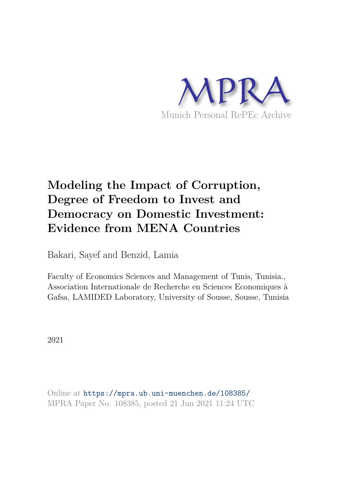

# **Modeling the Impact of Corruption, Degree of Freedom to Invest and Democracy on Domestic Investment: Evidence from MENA Countries**

Bakari, Sayef and Benzid, Lamia

Faculty of Economics Sciences and Management of Tunis, Tunisia., Association Internationale de Recherche en Sciences Economiques à Gafsa, LAMIDED Laboratory, University of Sousse, Sousse, Tunisia

2021

Online at https://mpra.ub.uni-muenchen.de/108385/ MPRA Paper No. 108385, posted 21 Jun 2021 11:24 UTC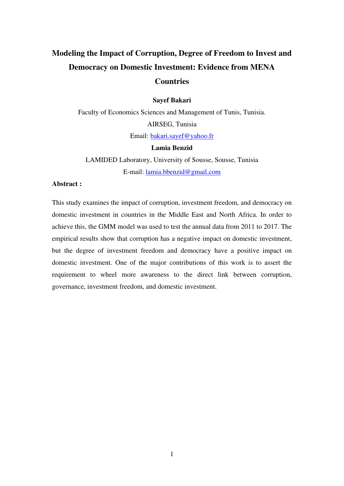# **Modeling the Impact of Corruption, Degree of Freedom to Invest and Democracy on Domestic Investment: Evidence from MENA Countries**

#### **Sayef Bakari**

Faculty of Economics Sciences and Management of Tunis, Tunisia. AIRSEG, Tunisia Email: [bakari.sayef@yahoo.fr](mailto:bakari.sayef@yahoo.fr)

#### **Lamia Benzid**

LAMIDED Laboratory, University of Sousse, Sousse, Tunisia E-mail: [lamia.bbenzid@gmail.com](mailto:lamia.bbenzid@gmail.com)

# **Abstract :**

This study examines the impact of corruption, investment freedom, and democracy on domestic investment in countries in the Middle East and North Africa. In order to achieve this, the GMM model was used to test the annual data from 2011 to 2017. The empirical results show that corruption has a negative impact on domestic investment, but the degree of investment freedom and democracy have a positive impact on domestic investment. One of the major contributions of this work is to assert the requirement to wheel more awareness to the direct link between corruption, governance, investment freedom, and domestic investment.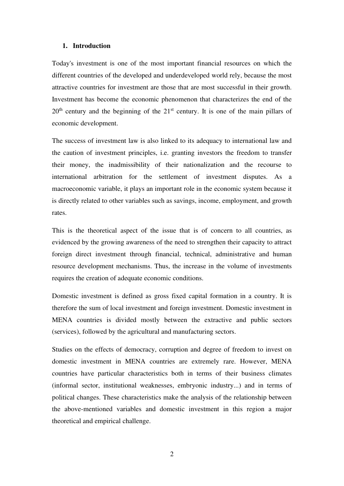#### **1. Introduction**

Today's investment is one of the most important financial resources on which the different countries of the developed and underdeveloped world rely, because the most attractive countries for investment are those that are most successful in their growth. Investment has become the economic phenomenon that characterizes the end of the  $20<sup>th</sup>$  century and the beginning of the  $21<sup>st</sup>$  century. It is one of the main pillars of economic development.

The success of investment law is also linked to its adequacy to international law and the caution of investment principles, i.e. granting investors the freedom to transfer their money, the inadmissibility of their nationalization and the recourse to international arbitration for the settlement of investment disputes. As a macroeconomic variable, it plays an important role in the economic system because it is directly related to other variables such as savings, income, employment, and growth rates.

This is the theoretical aspect of the issue that is of concern to all countries, as evidenced by the growing awareness of the need to strengthen their capacity to attract foreign direct investment through financial, technical, administrative and human resource development mechanisms. Thus, the increase in the volume of investments requires the creation of adequate economic conditions.

Domestic investment is defined as gross fixed capital formation in a country. It is therefore the sum of local investment and foreign investment. Domestic investment in MENA countries is divided mostly between the extractive and public sectors (services), followed by the agricultural and manufacturing sectors.

Studies on the effects of democracy, corruption and degree of freedom to invest on domestic investment in MENA countries are extremely rare. However, MENA countries have particular characteristics both in terms of their business climates (informal sector, institutional weaknesses, embryonic industry...) and in terms of political changes. These characteristics make the analysis of the relationship between the above-mentioned variables and domestic investment in this region a major theoretical and empirical challenge.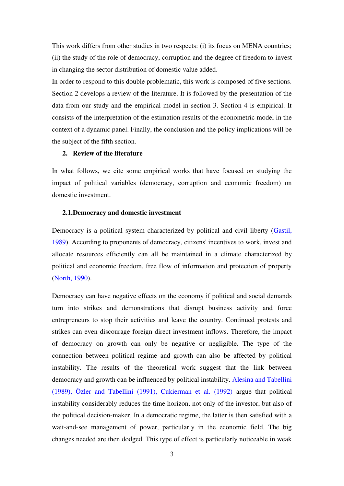This work differs from other studies in two respects: (i) its focus on MENA countries; (ii) the study of the role of democracy, corruption and the degree of freedom to invest in changing the sector distribution of domestic value added.

In order to respond to this double problematic, this work is composed of five sections. Section 2 develops a review of the literature. It is followed by the presentation of the data from our study and the empirical model in section 3. Section 4 is empirical. It consists of the interpretation of the estimation results of the econometric model in the context of a dynamic panel. Finally, the conclusion and the policy implications will be the subject of the fifth section.

# **2. Review of the literature**

In what follows, we cite some empirical works that have focused on studying the impact of political variables (democracy, corruption and economic freedom) on domestic investment.

#### **2.1.Democracy and domestic investment**

Democracy is a political system characterized by political and civil liberty (Gastil, 1989). According to proponents of democracy, citizens' incentives to work, invest and allocate resources efficiently can all be maintained in a climate characterized by political and economic freedom, free flow of information and protection of property (North, 1990).

Democracy can have negative effects on the economy if political and social demands turn into strikes and demonstrations that disrupt business activity and force entrepreneurs to stop their activities and leave the country. Continued protests and strikes can even discourage foreign direct investment inflows. Therefore, the impact of democracy on growth can only be negative or negligible. The type of the connection between political regime and growth can also be affected by political instability. The results of the theoretical work suggest that the link between democracy and growth can be influenced by political instability. Alesina and Tabellini (1989), Özler and Tabellini (1991), Cukierman et al. (1992) argue that political instability considerably reduces the time horizon, not only of the investor, but also of the political decision-maker. In a democratic regime, the latter is then satisfied with a wait-and-see management of power, particularly in the economic field. The big changes needed are then dodged. This type of effect is particularly noticeable in weak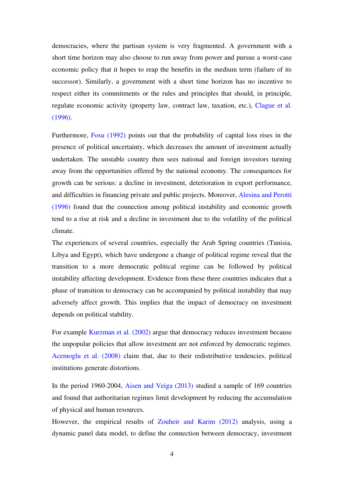democracies, where the partisan system is very fragmented. A government with a short time horizon may also choose to run away from power and pursue a worst-case economic policy that it hopes to reap the benefits in the medium term (failure of its successor). Similarly, a government with a short time horizon has no incentive to respect either its commitments or the rules and principles that should, in principle, regulate economic activity (property law, contract law, taxation, etc.), Clague et al. (1996).

Furthermore, Fosu (1992) points out that the probability of capital loss rises in the presence of political uncertainty, which decreases the amount of investment actually undertaken. The unstable country then sees national and foreign investors turning away from the opportunities offered by the national economy. The consequences for growth can be serious: a decline in investment, deterioration in export performance, and difficulties in financing private and public projects. Moreover, Alesina and Perotti (1996) found that the connection among political instability and economic growth tend to a rise at risk and a decline in investment due to the volatility of the political climate.

The experiences of several countries, especially the Arab Spring countries (Tunisia, Libya and Egypt), which have undergone a change of political regime reveal that the transition to a more democratic political regime can be followed by political instability affecting development. Evidence from these three countries indicates that a phase of transition to democracy can be accompanied by political instability that may adversely affect growth. This implies that the impact of democracy on investment depends on political stability.

For example Kurzman et al. (2002) argue that democracy reduces investment because the unpopular policies that allow investment are not enforced by democratic regimes. Acemoglu et al. (2008) claim that, due to their redistributive tendencies, political institutions generate distortions.

In the period 1960-2004, Aisen and Veiga (2013) studied a sample of 169 countries and found that authoritarian regimes limit development by reducing the accumulation of physical and human resources.

However, the empirical results of Zouheir and Karim (2012) analysis, using a dynamic panel data model, to define the connection between democracy, investment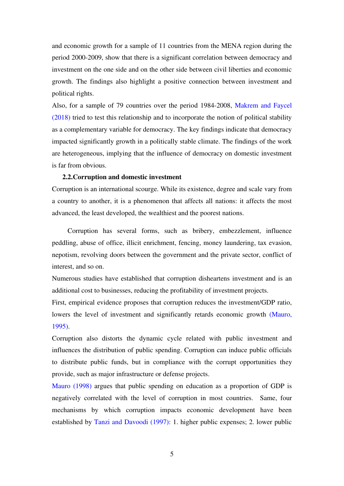and economic growth for a sample of 11 countries from the MENA region during the period 2000-2009, show that there is a significant correlation between democracy and investment on the one side and on the other side between civil liberties and economic growth. The findings also highlight a positive connection between investment and political rights.

Also, for a sample of 79 countries over the period 1984-2008, Makrem and Faycel (2018) tried to test this relationship and to incorporate the notion of political stability as a complementary variable for democracy. The key findings indicate that democracy impacted significantly growth in a politically stable climate. The findings of the work are heterogeneous, implying that the influence of democracy on domestic investment is far from obvious.

#### **2.2.Corruption and domestic investment**

Corruption is an international scourge. While its existence, degree and scale vary from a country to another, it is a phenomenon that affects all nations: it affects the most advanced, the least developed, the wealthiest and the poorest nations.

 Corruption has several forms, such as bribery, embezzlement, influence peddling, abuse of office, illicit enrichment, fencing, money laundering, tax evasion, nepotism, revolving doors between the government and the private sector, conflict of interest, and so on.

Numerous studies have established that corruption disheartens investment and is an additional cost to businesses, reducing the profitability of investment projects.

First, empirical evidence proposes that corruption reduces the investment/GDP ratio, lowers the level of investment and significantly retards economic growth (Mauro, 1995).

Corruption also distorts the dynamic cycle related with public investment and influences the distribution of public spending. Corruption can induce public officials to distribute public funds, but in compliance with the corrupt opportunities they provide, such as major infrastructure or defense projects.

Mauro (1998) argues that public spending on education as a proportion of GDP is negatively correlated with the level of corruption in most countries. Same, four mechanisms by which corruption impacts economic development have been established by Tanzi and Davoodi (1997): 1. higher public expenses; 2. lower public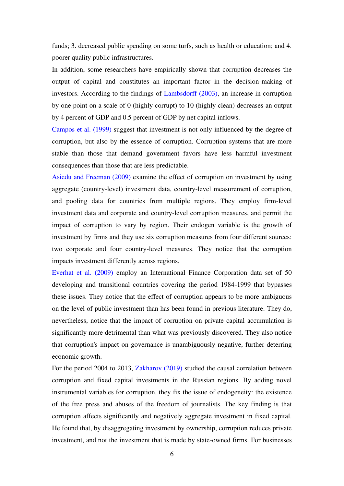funds; 3. decreased public spending on some turfs, such as health or education; and 4. poorer quality public infrastructures.

In addition, some researchers have empirically shown that corruption decreases the output of capital and constitutes an important factor in the decision-making of investors. According to the findings of Lambsdorff (2003), an increase in corruption by one point on a scale of 0 (highly corrupt) to 10 (highly clean) decreases an output by 4 percent of GDP and 0.5 percent of GDP by net capital inflows.

Campos et al. (1999) suggest that investment is not only influenced by the degree of corruption, but also by the essence of corruption. Corruption systems that are more stable than those that demand government favors have less harmful investment consequences than those that are less predictable.

Asiedu and Freeman (2009) examine the effect of corruption on investment by using aggregate (country-level) investment data, country-level measurement of corruption, and pooling data for countries from multiple regions. They employ firm-level investment data and corporate and country-level corruption measures, and permit the impact of corruption to vary by region. Their endogen variable is the growth of investment by firms and they use six corruption measures from four different sources: two corporate and four country-level measures. They notice that the corruption impacts investment differently across regions.

Everhat et al. (2009) employ an International Finance Corporation data set of 50 developing and transitional countries covering the period 1984-1999 that bypasses these issues. They notice that the effect of corruption appears to be more ambiguous on the level of public investment than has been found in previous literature. They do, nevertheless, notice that the impact of corruption on private capital accumulation is significantly more detrimental than what was previously discovered. They also notice that corruption's impact on governance is unambiguously negative, further deterring economic growth.

For the period 2004 to 2013, Zakharov (2019) studied the causal correlation between corruption and fixed capital investments in the Russian regions. By adding novel instrumental variables for corruption, they fix the issue of endogeneity: the existence of the free press and abuses of the freedom of journalists. The key finding is that corruption affects significantly and negatively aggregate investment in fixed capital. He found that, by disaggregating investment by ownership, corruption reduces private investment, and not the investment that is made by state-owned firms. For businesses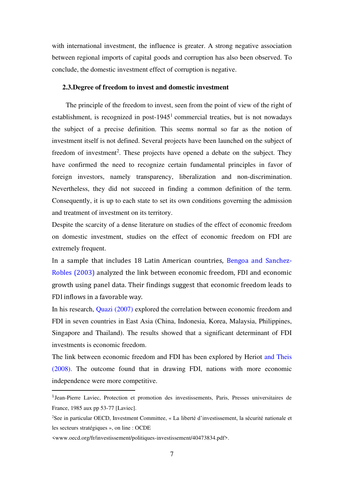with international investment, the influence is greater. A strong negative association between regional imports of capital goods and corruption has also been observed. To conclude, the domestic investment effect of corruption is negative.

#### **2.3.Degree of freedom to invest and domestic investment**

 The principle of the freedom to invest, seen from the point of view of the right of establishment, is recognized in post- $1945<sup>1</sup>$  commercial treaties, but is not nowadays the subject of a precise definition. This seems normal so far as the notion of investment itself is not defined. Several projects have been launched on the subject of freedom of investment<sup>2</sup>. These projects have opened a debate on the subject. They have confirmed the need to recognize certain fundamental principles in favor of foreign investors, namely transparency, liberalization and non-discrimination. Nevertheless, they did not succeed in finding a common definition of the term. Consequently, it is up to each state to set its own conditions governing the admission and treatment of investment on its territory.

Despite the scarcity of a dense literature on studies of the effect of economic freedom on domestic investment, studies on the effect of economic freedom on FDI are extremely frequent.

In a sample that includes 18 Latin American countries, Bengoa and Sanchez-Robles (2003) analyzed the link between economic freedom, FDI and economic growth using panel data. Their findings suggest that economic freedom leads to FDI inflows in a favorable way.

In his research, Quazi (2007) explored the correlation between economic freedom and FDI in seven countries in East Asia (China, Indonesia, Korea, Malaysia, Philippines, Singapore and Thailand). The results showed that a significant determinant of FDI investments is economic freedom.

The link between economic freedom and FDI has been explored by Heriot and Theis (2008). The outcome found that in drawing FDI, nations with more economic independence were more competitive.

<sup>&</sup>lt;sup>1</sup> Jean-Pierre Laviec, Protection et promotion des investissements, Paris, Presses universitaires de France, 1985 aux pp 53-77 [Laviec].

<sup>2</sup>See in particular OECD, Investment Committee, « La liberté d'investissement, la sécurité nationale et les secteurs stratégiques », on line : OCDE

<sup>&</sup>lt;www.oecd.org/fr/investissement/politiques-investissement/40473834.pdf>.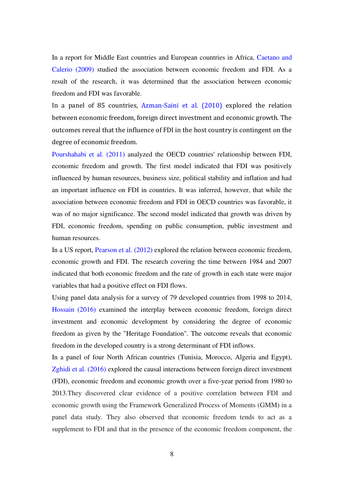In a report for Middle East countries and European countries in Africa, Caetano and Calerio (2009) studied the association between economic freedom and FDI. As a result of the research, it was determined that the association between economic freedom and FDI was favorable.

In a panel of 85 countries, Azman-Saini et al. (2010) explored the relation between economic freedom, foreign direct investment and economic growth. The outcomes reveal that the influence of FDI in the host country is contingent on the degree of economic freedom.

Pourshahabi et al. (2011) analyzed the OECD countries' relationship between FDI, economic freedom and growth. The first model indicated that FDI was positively influenced by human resources, business size, political stability and inflation and had an important influence on FDI in countries. It was inferred, however, that while the association between economic freedom and FDI in OECD countries was favorable, it was of no major significance. The second model indicated that growth was driven by FDI, economic freedom, spending on public consumption, public investment and human resources.

In a US report, Pearson et al. (2012) explored the relation between economic freedom, economic growth and FDI. The research covering the time between 1984 and 2007 indicated that both economic freedom and the rate of growth in each state were major variables that had a positive effect on FDI flows.

Using panel data analysis for a survey of 79 developed countries from 1998 to 2014, Hossain (2016) examined the interplay between economic freedom, foreign direct investment and economic development by considering the degree of economic freedom as given by the "Heritage Foundation". The outcome reveals that economic freedom in the developed country is a strong determinant of FDI inflows.

In a panel of four North African countries (Tunisia, Morocco, Algeria and Egypt), Zghidi et al. (2016) explored the causal interactions between foreign direct investment (FDI), economic freedom and economic growth over a five-year period from 1980 to 2013.They discovered clear evidence of a positive correlation between FDI and economic growth using the Framework Generalized Process of Moments (GMM) in a panel data study. They also observed that economic freedom tends to act as a supplement to FDI and that in the presence of the economic freedom component, the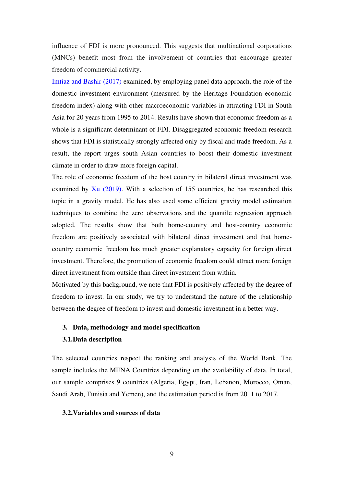influence of FDI is more pronounced. This suggests that multinational corporations (MNCs) benefit most from the involvement of countries that encourage greater freedom of commercial activity.

Imtiaz and Bashir (2017) examined, by employing panel data approach, the role of the domestic investment environment (measured by the Heritage Foundation economic freedom index) along with other macroeconomic variables in attracting FDI in South Asia for 20 years from 1995 to 2014. Results have shown that economic freedom as a whole is a significant determinant of FDI. Disaggregated economic freedom research shows that FDI is statistically strongly affected only by fiscal and trade freedom. As a result, the report urges south Asian countries to boost their domestic investment climate in order to draw more foreign capital.

The role of economic freedom of the host country in bilateral direct investment was examined by Xu (2019). With a selection of 155 countries, he has researched this topic in a gravity model. He has also used some efficient gravity model estimation techniques to combine the zero observations and the quantile regression approach adopted. The results show that both home-country and host-country economic freedom are positively associated with bilateral direct investment and that homecountry economic freedom has much greater explanatory capacity for foreign direct investment. Therefore, the promotion of economic freedom could attract more foreign direct investment from outside than direct investment from within.

Motivated by this background, we note that FDI is positively affected by the degree of freedom to invest. In our study, we try to understand the nature of the relationship between the degree of freedom to invest and domestic investment in a better way.

#### **3. Data, methodology and model specification**

#### **3.1.Data description**

The selected countries respect the ranking and analysis of the World Bank. The sample includes the MENA Countries depending on the availability of data. In total, our sample comprises 9 countries (Algeria, Egypt, Iran, Lebanon, Morocco, Oman, Saudi Arab, Tunisia and Yemen), and the estimation period is from 2011 to 2017.

# **3.2.Variables and sources of data**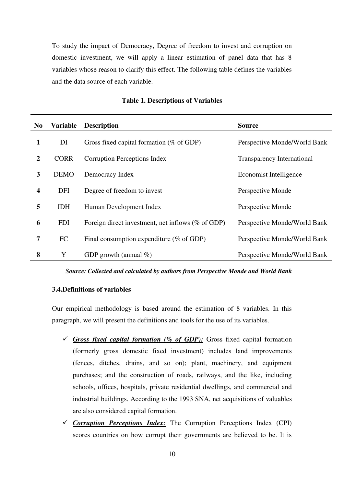To study the impact of Democracy, Degree of freedom to invest and corruption on domestic investment, we will apply a linear estimation of panel data that has 8 variables whose reason to clarify this effect. The following table defines the variables and the data source of each variable.

| N <sub>0</sub> | Variable    | <b>Description</b>                                   | <b>Source</b>                |
|----------------|-------------|------------------------------------------------------|------------------------------|
| 1              | DI          | Gross fixed capital formation ( $%$ of GDP)          | Perspective Monde/World Bank |
| $\overline{2}$ | <b>CORR</b> | <b>Corruption Perceptions Index</b>                  | Transparency International   |
| 3              | <b>DEMO</b> | Democracy Index                                      | Economist Intelligence       |
| 4              | <b>DFI</b>  | Degree of freedom to invest                          | Perspective Monde            |
| 5              | <b>IDH</b>  | Human Development Index                              | Perspective Monde            |
| 6              | <b>FDI</b>  | Foreign direct investment, net inflows $(\%$ of GDP) | Perspective Monde/World Bank |
| 7              | FC          | Final consumption expenditure ( $%$ of GDP)          | Perspective Monde/World Bank |
| 8              | Y           | GDP growth (annual $\%$ )                            | Perspective Monde/World Bank |

#### **Table 1. Descriptions of Variables**

*Source: Collected and calculated by authors from Perspective Monde and World Bank* 

# **3.4.Definitions of variables**

Our empirical methodology is based around the estimation of 8 variables. In this paragraph, we will present the definitions and tools for the use of its variables.

- $\checkmark$  *Gross fixed capital formation (% of GDP):* Gross fixed capital formation (formerly gross domestic fixed investment) includes land improvements (fences, ditches, drains, and so on); plant, machinery, and equipment purchases; and the construction of roads, railways, and the like, including schools, offices, hospitals, private residential dwellings, and commercial and industrial buildings. According to the 1993 SNA, net acquisitions of valuables are also considered capital formation.
- ✓ *Corruption Perceptions Index:* The Corruption Perceptions Index (CPI) scores countries on how corrupt their governments are believed to be. It is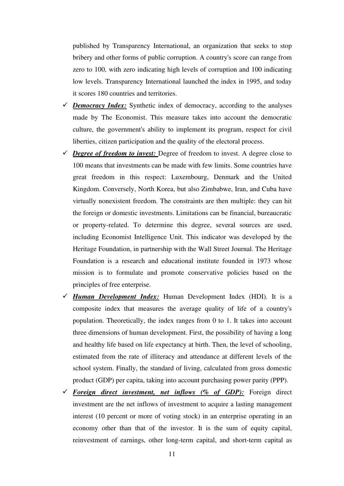published by Transparency International, an organization that seeks to stop bribery and other forms of public corruption. A country's score can range from zero to 100, with zero indicating high levels of corruption and 100 indicating low levels. Transparency International launched the index in 1995, and today it scores 180 countries and territories.

- $\checkmark$  *Democracy Index:* Synthetic index of democracy, according to the analyses made by The Economist. This measure takes into account the democratic culture, the government's ability to implement its program, respect for civil liberties, citizen participation and the quality of the electoral process.
- ✓ *Degree of freedom to invest:* Degree of freedom to invest. A degree close to 100 means that investments can be made with few limits. Some countries have great freedom in this respect: Luxembourg, Denmark and the United Kingdom. Conversely, North Korea, but also Zimbabwe, Iran, and Cuba have virtually nonexistent freedom. The constraints are then multiple: they can hit the foreign or domestic investments. Limitations can be financial, bureaucratic or property-related. To determine this degree, several sources are used, including Economist Intelligence Unit. This indicator was developed by the Heritage Foundation, in partnership with the Wall Street Journal. The Heritage Foundation is a research and educational institute founded in 1973 whose mission is to formulate and promote conservative policies based on the principles of free enterprise.
- ✓ *Human Development Index:* Human Development Index (HDI). It is a composite index that measures the average quality of life of a country's population. Theoretically, the index ranges from 0 to 1. It takes into account three dimensions of human development. First, the possibility of having a long and healthy life based on life expectancy at birth. Then, the level of schooling, estimated from the rate of illiteracy and attendance at different levels of the school system. Finally, the standard of living, calculated from gross domestic product (GDP) per capita, taking into account purchasing power parity (PPP).
- ✓ *Foreign direct investment, net inflows (% of GDP):* Foreign direct investment are the net inflows of investment to acquire a lasting management interest (10 percent or more of voting stock) in an enterprise operating in an economy other than that of the investor. It is the sum of equity capital, reinvestment of earnings, other long-term capital, and short-term capital as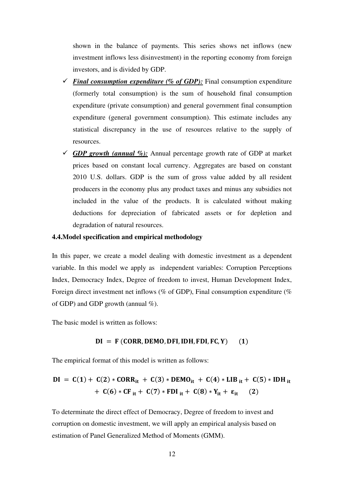shown in the balance of payments. This series shows net inflows (new investment inflows less disinvestment) in the reporting economy from foreign investors, and is divided by GDP.

- $\checkmark$  *Final consumption expenditure (% of GDP)*: Final consumption expenditure (formerly total consumption) is the sum of household final consumption expenditure (private consumption) and general government final consumption expenditure (general government consumption). This estimate includes any statistical discrepancy in the use of resources relative to the supply of resources.
- $\checkmark$  *GDP growth (annual %)*: Annual percentage growth rate of GDP at market prices based on constant local currency. Aggregates are based on constant 2010 U.S. dollars. GDP is the sum of gross value added by all resident producers in the economy plus any product taxes and minus any subsidies not included in the value of the products. It is calculated without making deductions for depreciation of fabricated assets or for depletion and degradation of natural resources.

# **4.4.Model specification and empirical methodology**

In this paper, we create a model dealing with domestic investment as a dependent variable. In this model we apply as independent variables: Corruption Perceptions Index, Democracy Index, Degree of freedom to invest, Human Development Index, Foreign direct investment net inflows (% of GDP), Final consumption expenditure (% of GDP) and GDP growth (annual  $\%$ ).

The basic model is written as follows:

#### $DI = F (CORR, DEMO, DFI, IDH, FDI, FC, Y)$  (1)

The empirical format of this model is written as follows:

$$
DI = C(1) + C(2) * CORRit + C(3) * DEMOit + C(4) * LIBit + C(5) * IDHit+ C(6) * CFit + C(7) * FDIit + C(8) * Yit + \varepsilonit
$$
 (2)

To determinate the direct effect of Democracy, Degree of freedom to invest and corruption on domestic investment, we will apply an empirical analysis based on estimation of Panel Generalized Method of Moments (GMM).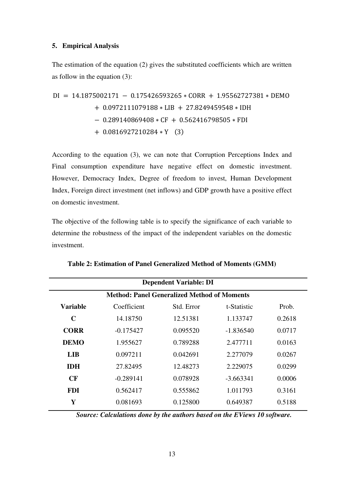# **5. Empirical Analysis**

The estimation of the equation (2) gives the substituted coefficients which are written as follow in the equation (3):

$$
DI = 14.1875002171 - 0.175426593265 * CORR + 1.95562727381 * DEMO
$$
  
+ 0.0972111079188 \* LIB + 27.8249459548 \* IDH  
- 0.289140869408 \* CF + 0.562416798505 \* FDI  
+ 0.0816927210284 \* Y (3)

According to the equation (3), we can note that Corruption Perceptions Index and Final consumption expenditure have negative effect on domestic investment. However, Democracy Index, Degree of freedom to invest, Human Development Index, Foreign direct investment (net inflows) and GDP growth have a positive effect on domestic investment.

The objective of the following table is to specify the significance of each variable to determine the robustness of the impact of the independent variables on the domestic investment.

| <b>Dependent Variable: DI</b>                      |             |            |             |        |  |  |  |
|----------------------------------------------------|-------------|------------|-------------|--------|--|--|--|
| <b>Method: Panel Generalized Method of Moments</b> |             |            |             |        |  |  |  |
| <b>Variable</b>                                    | Coefficient | Std. Error | t-Statistic | Prob.  |  |  |  |
| C                                                  | 14.18750    | 12.51381   | 1.133747    | 0.2618 |  |  |  |
| <b>CORR</b>                                        | $-0.175427$ | 0.095520   | $-1.836540$ | 0.0717 |  |  |  |
| <b>DEMO</b>                                        | 1.955627    | 0.789288   | 2.477711    | 0.0163 |  |  |  |
| <b>LIB</b>                                         | 0.097211    | 0.042691   | 2.277079    | 0.0267 |  |  |  |
| <b>IDH</b>                                         | 27.82495    | 12.48273   | 2.229075    | 0.0299 |  |  |  |
| <b>CF</b>                                          | $-0.289141$ | 0.078928   | $-3.663341$ | 0.0006 |  |  |  |
| <b>FDI</b>                                         | 0.562417    | 0.555862   | 1.011793    | 0.3161 |  |  |  |
| Y                                                  | 0.081693    | 0.125800   | 0.649387    | 0.5188 |  |  |  |

**Table 2: Estimation of Panel Generalized Method of Moments (GMM)** 

*Source: Calculations done by the authors based on the EViews 10 software.*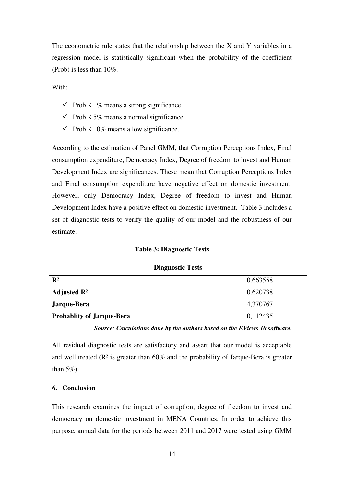The econometric rule states that the relationship between the X and Y variables in a regression model is statistically significant when the probability of the coefficient (Prob) is less than 10%.

With:

- $\checkmark$  Prob  $\checkmark$  1% means a strong significance.
- $\checkmark$  Prob  $\checkmark$  5% means a normal significance.
- $\checkmark$  Prob  $\checkmark$  10% means a low significance.

According to the estimation of Panel GMM, that Corruption Perceptions Index, Final consumption expenditure, Democracy Index, Degree of freedom to invest and Human Development Index are significances. These mean that Corruption Perceptions Index and Final consumption expenditure have negative effect on domestic investment. However, only Democracy Index, Degree of freedom to invest and Human Development Index have a positive effect on domestic investment. Table 3 includes a set of diagnostic tests to verify the quality of our model and the robustness of our estimate.

**Table 3: Diagnostic Tests** 

|                                  | <b>Diagnostic Tests</b> |
|----------------------------------|-------------------------|
| $\mathbf{R}^2$                   | 0.663558                |
| Adjusted $\mathbb{R}^2$          | 0.620738                |
| Jarque-Bera                      | 4,370767                |
| <b>Probablity of Jarque-Bera</b> | 0,112435                |

*Source: Calculations done by the authors based on the EViews 10 software.* 

All residual diagnostic tests are satisfactory and assert that our model is acceptable and well treated (R² is greater than 60% and the probability of Jarque-Bera is greater than  $5\%$ ).

# **6. Conclusion**

This research examines the impact of corruption, degree of freedom to invest and democracy on domestic investment in MENA Countries. In order to achieve this purpose, annual data for the periods between 2011 and 2017 were tested using GMM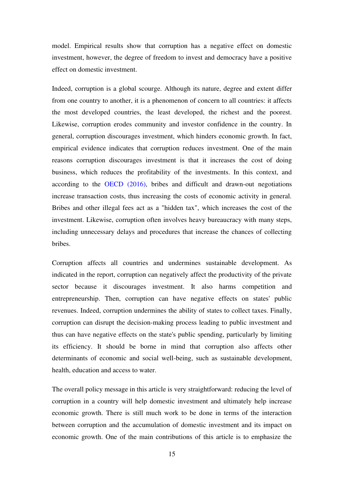model. Empirical results show that corruption has a negative effect on domestic investment, however, the degree of freedom to invest and democracy have a positive effect on domestic investment.

Indeed, corruption is a global scourge. Although its nature, degree and extent differ from one country to another, it is a phenomenon of concern to all countries: it affects the most developed countries, the least developed, the richest and the poorest. Likewise, corruption erodes community and investor confidence in the country. In general, corruption discourages investment, which hinders economic growth. In fact, empirical evidence indicates that corruption reduces investment. One of the main reasons corruption discourages investment is that it increases the cost of doing business, which reduces the profitability of the investments. In this context, and according to the OECD (2016), bribes and difficult and drawn-out negotiations increase transaction costs, thus increasing the costs of economic activity in general. Bribes and other illegal fees act as a "hidden tax", which increases the cost of the investment. Likewise, corruption often involves heavy bureaucracy with many steps, including unnecessary delays and procedures that increase the chances of collecting bribes.

Corruption affects all countries and undermines sustainable development. As indicated in the report, corruption can negatively affect the productivity of the private sector because it discourages investment. It also harms competition and entrepreneurship. Then, corruption can have negative effects on states' public revenues. Indeed, corruption undermines the ability of states to collect taxes. Finally, corruption can disrupt the decision-making process leading to public investment and thus can have negative effects on the state's public spending, particularly by limiting its efficiency. It should be borne in mind that corruption also affects other determinants of economic and social well-being, such as sustainable development, health, education and access to water.

The overall policy message in this article is very straightforward: reducing the level of corruption in a country will help domestic investment and ultimately help increase economic growth. There is still much work to be done in terms of the interaction between corruption and the accumulation of domestic investment and its impact on economic growth. One of the main contributions of this article is to emphasize the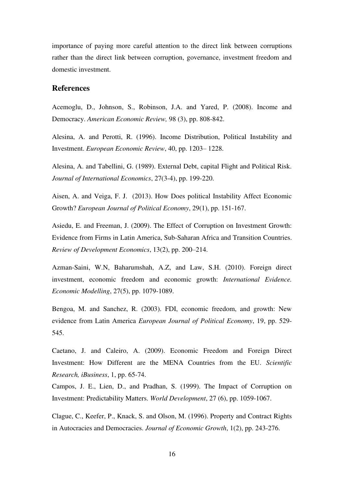importance of paying more careful attention to the direct link between corruptions rather than the direct link between corruption, governance, investment freedom and domestic investment.

## **References**

Acemoglu, D., Johnson, S., Robinson, J.A. and Yared, P. (2008). Income and Democracy. *American Economic Review,* 98 (3), pp. 808-842.

Alesina, A. and Perotti, R. (1996). Income Distribution, Political Instability and Investment. *European Economic Review*, 40, pp. 1203– 1228.

Alesina, A. and Tabellini, G. (1989). External Debt, capital Flight and Political Risk. *Journal of International Economics*, 27(3-4), pp. 199-220.

Aisen, A. and Veiga, F. J. (2013). How Does political Instability Affect Economic Growth? *European Journal of Political Economy*, 29(1), pp. 151-167.

Asiedu, E. and Freeman, J. (2009). The Effect of Corruption on Investment Growth: Evidence from Firms in Latin America, Sub-Saharan Africa and Transition Countries. *Review of Development Economics*, 13(2), pp. 200–214.

Azman-Saini, W.N, Baharumshah, A.Z, and Law, S.H. (2010). Foreign direct investment, economic freedom and economic growth: *International Evidence. Economic Modelling*, 27(5), pp. 1079-1089.

Bengoa, M. and Sanchez, R. (2003). FDI, economic freedom, and growth: New evidence from Latin America *European Journal of Political Economy*, 19, pp. 529- 545.

Caetano, J. and Caleiro, A. (2009). Economic Freedom and Foreign Direct Investment: How Different are the MENA Countries from the EU. *Scientific Research, iBusiness*, 1, pp. 65-74.

Campos, J. E., Lien, D., and Pradhan, S. (1999). The Impact of Corruption on Investment: Predictability Matters. *World Development*, 27 (6), pp. 1059-1067.

Clague, C., Keefer, P., Knack, S. and Olson, M. (1996). Property and Contract Rights in Autocracies and Democracies. *Journal of Economic Growth*, 1(2), pp. 243-276.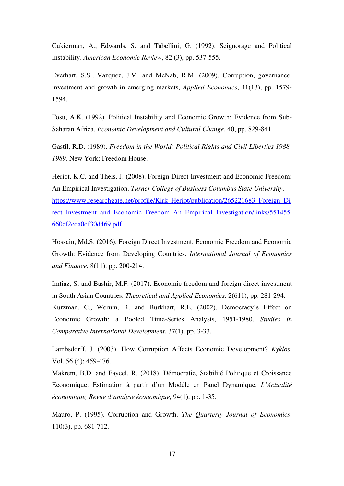Cukierman, A., Edwards, S. and Tabellini, G. (1992). Seignorage and Political Instability. *American Economic Review*, 82 (3), pp. 537-555.

Everhart, S.S., Vazquez, J.M. and McNab, R.M. (2009). Corruption, governance, investment and growth in emerging markets, *Applied Economics*, 41(13), pp. 1579- 1594.

Fosu, A.K. (1992). Political Instability and Economic Growth: Evidence from Sub-Saharan Africa. *Economic Development and Cultural Change*, 40, pp. 829-841.

Gastil, R.D. (1989). *Freedom in the World: Political Rights and Civil Liberties 1988- 1989,* New York: Freedom House.

Heriot, K.C. and Theis, J. (2008). Foreign Direct Investment and Economic Freedom: An Empirical Investigation. *Turner College of Business Columbus State University.*  [https://www.researchgate.net/profile/Kirk\\_Heriot/publication/265221683\\_Foreign\\_Di](https://www.researchgate.net/profile/Kirk_Heriot/publication/265221683_Foreign_Direct_Investment_and_Economic_Freedom_An_Empirical_Investigation/links/551455660cf2eda0df30d469.pdf) rect Investment and Economic Freedom An Empirical Investigation/links/551455 [660cf2eda0df30d469.pdf](https://www.researchgate.net/profile/Kirk_Heriot/publication/265221683_Foreign_Direct_Investment_and_Economic_Freedom_An_Empirical_Investigation/links/551455660cf2eda0df30d469.pdf)

Hossain, Md.S. (2016). Foreign Direct Investment, Economic Freedom and Economic Growth: Evidence from Developing Countries. *International Journal of Economics and Finance*, 8(11). pp. 200-214.

Imtiaz, S. and Bashir, M.F. (2017). Economic freedom and foreign direct investment in South Asian Countries. *Theoretical and Applied Economics,* 2(611), pp. 281-294. Kurzman, C., Werum, R. and Burkhart, R.E. (2002). Democracy's Effect on Economic Growth: a Pooled Time-Series Analysis, 1951-1980. *Studies in Comparative International Development*, 37(1), pp. 3-33.

Lambsdorff, J. (2003). How Corruption Affects Economic Development? *Kyklos*, Vol. 56 (4): 459-476.

Makrem, B.D. and Faycel, R. (2018). Démocratie, Stabilité Politique et Croissance Economique: Estimation à partir d'un Modèle en Panel Dynamique. *L'Actualité économique, Revue d'analyse économique*, 94(1), pp. 1-35.

Mauro, P. (1995). Corruption and Growth. *The Quarterly Journal of Economics*, 110(3), pp. 681-712.